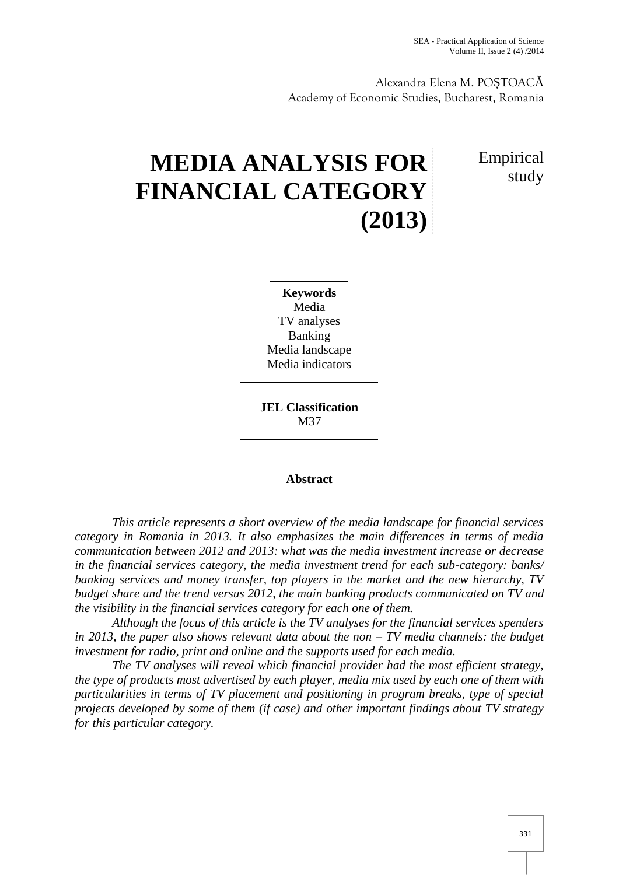Alexandra Elena M.PO TOAC Academy of Economic Studies, Bucharest, Romania

# **MEDIA ANALYSIS FOR FINANCIAL CATEGORY (2013)**

Empirical study

**Keywords** Media TV analyses Banking Media landscape Media indicators

**JEL Classification** M37

#### **Abstract**

*This article represents a short overview of the media landscape for financial services category in Romania in 2013. It also emphasizes the main differences in terms of media communication between 2012 and 2013: what was the media investment increase or decrease in the financial services category, the media investment trend for each sub-category: banks/ banking services and money transfer, top players in the market and the new hierarchy, TV budget share and the trend versus 2012, the main banking products communicated on TV and the visibility in the financial services category for each one of them.*

*Although the focus of this article is the TV analyses for the financial services spenders in 2013, the paper also shows relevant data about the non – TV media channels: the budget investment for radio, print and online and the supports used for each media.*

*The TV analyses will reveal which financial provider had the most efficient strategy, the type of products most advertised by each player, media mix used by each one of them with particularities in terms of TV placement and positioning in program breaks, type of special projects developed by some of them (if case) and other important findings about TV strategy for this particular category.*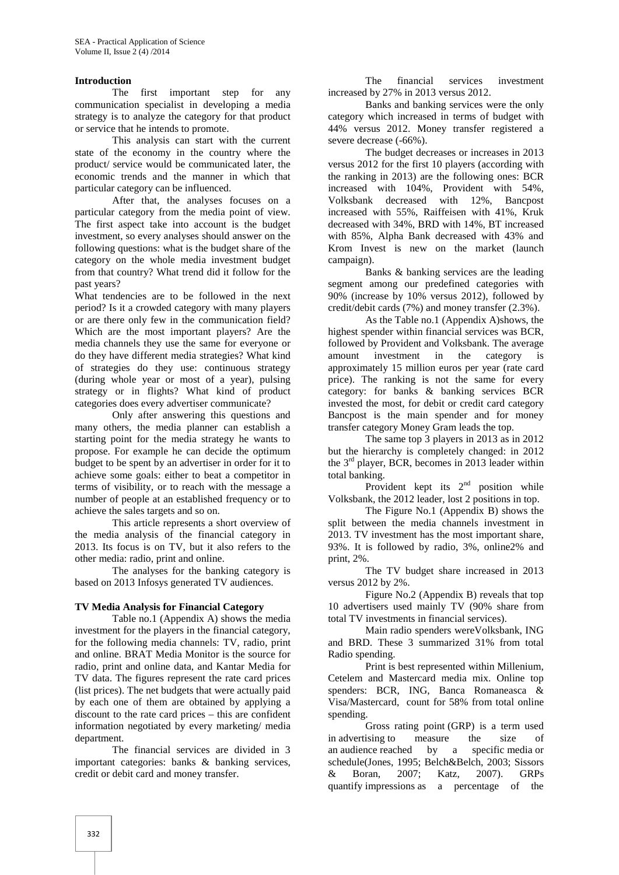#### **Introduction**

The first important step for any communication specialist in developing a media strategy is to analyze the category for that product or service that he intends to promote.

This analysis can start with the current state of the economy in the country where the product/ service would be communicated later, the economic trends and the manner in which that particular category can be influenced.

After that, the analyses focuses on a particular category from the media point of view. The first aspect take into account is the budget investment, so every analyses should answer on the following questions: what is the budget share of the category on the whole media investment budget from that country? What trend did it follow for the past years?

What tendencies are to be followed in the next period? Is it a crowded category with many players or are there only few in the communication field? Which are the most important players? Are the media channels they use the same for everyone or do they have different media strategies? What kind of strategies do they use: continuous strategy (during whole year or most of a year), pulsing strategy or in flights? What kind of product categories does every advertiser communicate?

Only after answering this questions and many others, the media planner can establish a starting point for the media strategy he wants to propose. For example he can decide the optimum budget to be spent by an advertiser in order for it to achieve some goals: either to beat a competitor in terms of visibility, or to reach with the message a number of people at an established frequency or to achieve the sales targets and so on.

This article represents a short overview of the media analysis of the financial category in 2013. Its focus is on TV, but it also refers to the other media: radio, print and online.

The analyses for the banking category is based on 2013 Infosys generated TV audiences.

#### **TV Media Analysis for Financial Category**

Table no.1 (Appendix A) shows the media investment for the players in the financial category, for the following media channels: TV, radio, print and online. BRAT Media Monitor is the source for radio, print and online data, and Kantar Media for TV data. The figures represent the rate card prices (list prices). The net budgets that were actually paid by each one of them are obtained by applying a discount to the rate card prices – this are confident information negotiated by every marketing/ media department.

The financial services are divided in 3 an audience reached important categories: banks & banking services, credit or debit card and money transfer.

The financial services investment increased by 27% in 2013 versus 2012.

Banks and banking services were the only category which increased in terms of budget with 44% versus 2012. Money transfer registered a severe decrease (-66%).

The budget decreases or increases in 2013 versus 2012 for the first 10 players (according with the ranking in 2013) are the following ones: BCR increased with 104%, Provident with 54%, Volksbank decreased with 12%, Bancpost increased with 55%, Raiffeisen with 41%, Kruk decreased with 34%, BRD with 14%, BT increased with 85%, Alpha Bank decreased with 43% and Krom Invest is new on the market (launch campaign).

Banks & banking services are the leading segment among our predefined categories with 90% (increase by 10% versus 2012), followed by credit/debit cards (7%) and money transfer (2.3%).

As the Table no.1 (Appendix A)shows, the highest spender within financial services was BCR, followed by Provident and Volksbank. The average investment in the category is approximately 15 million euros per year (rate card price). The ranking is not the same for every category: for banks & banking services BCR invested the most, for debit or credit card category Bancpost is the main spender and for money transfer category Money Gram leads the top.

The same top 3 players in 2013 as in 2012 but the hierarchy is completely changed: in 2012 the 3<sup>rd</sup> player, BCR, becomes in 2013 leader within total banking.

Provident kept its  $2<sup>nd</sup>$  position while Volksbank, the 2012 leader, lost 2 positions in top.

The Figure No.1 (Appendix B) shows the split between the media channels investment in 2013. TV investment has the most important share, 93%. It is followed by radio, 3%, online2% and print, 2%.

The TV budget share increased in 2013 versus 2012 by 2%.

Figure No.2 (Appendix B) reveals that top 10 advertisers used mainly TV (90% share from total TV investments in financial services).

Main radio spenders wereVolksbank, ING and BRD. These 3 summarized 31% from total Radio spending.

Print is best represented within Millenium, Cetelem and Mastercard media mix. Online top spenders: BCR, ING, Banca Romaneasca & Visa/Mastercard, count for 58% from total online spending.<br>Gross rating point (GRP) is a term used

in advertising to measure the size of by a specific media or schedule(Jones, 1995; Belch&Belch, 2003; Sissors & Boran, 2007; Katz, 2007). GRPs quantify impressions as a percentage of the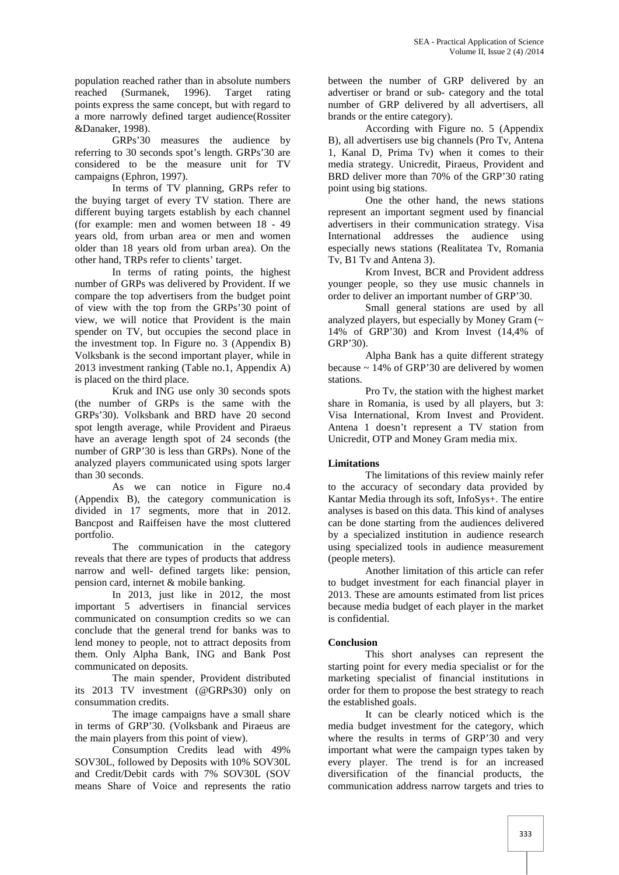population reached rather than in absolute numbers reached (Surmanek, 1996). Target rating points express the same concept, but with regard to a more narrowly defined target audience(Rossiter &Danaker, 1998).

GRPs'30 measures the audience by referring to 30 seconds spot's length. GRPs'30 are considered to be the measure unit for TV campaigns (Ephron, 1997).

In terms of TV planning, GRPs refer to the buying target of every TV station. There are different buying targets establish by each channel (for example: men and women between 18 - 49 years old, from urban area or men and women older than 18 years old from urban area). On the other hand, TRPs refer to clients' target.

In terms of rating points, the highest number of GRPs was delivered by Provident. If we compare the top advertisers from the budget point of view with the top from the GRPs'30 point of view, we will notice that Provident is the main spender on TV, but occupies the second place in the investment top. In Figure no. 3 (Appendix B) Volksbank is the second important player, while in 2013 investment ranking (Table no.1, Appendix A) is placed on the third place.

Kruk and ING use only 30 seconds spots (the number of GRPs is the same with the GRPs'30). Volksbank and BRD have 20 second spot length average, while Provident and Piraeus have an average length spot of 24 seconds (the number of GRP'30 is less than GRPs). None of the analyzed players communicated using spots larger than 30 seconds.

As we can notice in Figure no.4 (Appendix B), the category communication is divided in 17 segments, more that in 2012. Bancpost and Raiffeisen have the most cluttered portfolio.

The communication in the category reveals that there are types of products that address narrow and well- defined targets like: pension, pension card, internet & mobile banking.

In 2013, just like in 2012, the most important 5 advertisers in financial services communicated on consumption credits so we can conclude that the general trend for banks was to lend money to people, not to attract deposits from them. Only Alpha Bank, ING and Bank Post communicated on deposits.

The main spender, Provident distributed its 2013 TV investment (@GRPs30) only on consummation credits.

The image campaigns have a small share in terms of GRP'30. (Volksbank and Piraeus are the main players from this point of view).

Consumption Credits lead with 49% SOV30L, followed by Deposits with 10% SOV30L and Credit/Debit cards with 7% SOV30L (SOV means Share of Voice and represents the ratio

between the number of GRP delivered by an advertiser or brand or sub- category and the total number of GRP delivered by all advertisers, all brands or the entire category).

According with Figure no. 5 (Appendix B), all advertisers use big channels (Pro Tv, Antena 1, Kanal D, Prima Tv) when it comes to their media strategy. Unicredit, Piraeus, Provident and BRD deliver more than 70% of the GRP'30 rating point using big stations.

One the other hand, the news stations represent an important segment used by financial advertisers in their communication strategy. Visa International addresses the audience using especially news stations (Realitatea Tv, Romania Tv, B1 Tv and Antena 3).

Krom Invest, BCR and Provident address younger people, so they use music channels in order to deliver an important number of GRP'30.

Small general stations are used by all analyzed players, but especially by Money Gram (~ 14% of GRP'30) and Krom Invest (14,4% of GRP'30).

Alpha Bank has a quite different strategy because  $\sim 14\%$  of GRP'30 are delivered by women stations.

Pro Tv, the station with the highest market share in Romania, is used by all players, but 3: Visa International, Krom Invest and Provident. Antena 1 doesn't represent a TV station from Unicredit, OTP and Money Gram media mix.

### **Limitations**

The limitations of this review mainly refer to the accuracy of secondary data provided by Kantar Media through its soft, InfoSys+. The entire analyses is based on this data. This kind of analyses can be done starting from the audiences delivered by a specialized institution in audience research using specialized tools in audience measurement (people meters).

Another limitation of this article can refer to budget investment for each financial player in 2013. These are amounts estimated from list prices because media budget of each player in the market is confidential.

#### **Conclusion**

This short analyses can represent the starting point for every media specialist or for the marketing specialist of financial institutions in order for them to propose the best strategy to reach the established goals.

It can be clearly noticed which is the media budget investment for the category, which where the results in terms of GRP'30 and very important what were the campaign types taken by every player. The trend is for an increased diversification of the financial products, the communication address narrow targets and tries to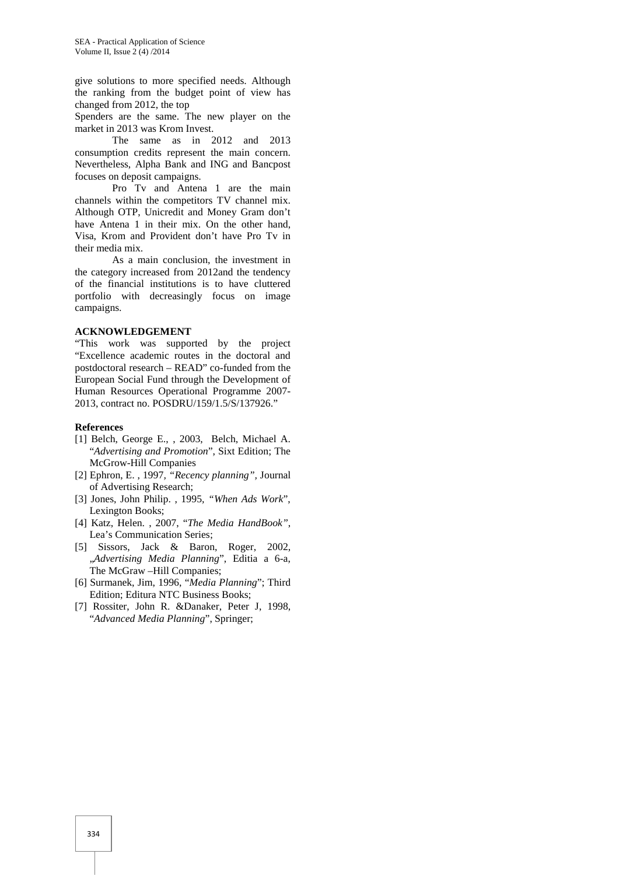give solutions to more specified needs. Although the ranking from the budget point of view has changed from 2012, the top

Spenders are the same. The new player on the market in 2013 was Krom Invest.

The same as in 2012 and 2013 consumption credits represent the main concern. Nevertheless, Alpha Bank and ING and Bancpost focuses on deposit campaigns.

Pro Tv and Antena 1 are the main channels within the competitors TV channel mix. Although OTP, Unicredit and Money Gram don't have Antena 1 in their mix. On the other hand, Visa, Krom and Provident don't have Pro Tv in their media mix.

As a main conclusion, the investment in the category increased from 2012and the tendency of the financial institutions is to have cluttered portfolio with decreasingly focus on image campaigns.

#### **ACKNOWLEDGEMENT**

"This work was supported by the project "Excellence academic routes in the doctoral and postdoctoral research – READ" co-funded from the European Social Fund through the Development of Human Resources Operational Programme 2007- 2013, contract no. POSDRU/159/1.5/S/137926."

#### **References**

- [1] Belch, George E., , 2003, Belch, Michael A. "*Advertising and Promotion*", Sixt Edition; The McGrow-Hill Companies
- [2] Ephron, E. , 1997*, "Recency planning",* Journal of Advertising Research;
- [3] Jones, John Philip. , 1995*, "When Ads Work*", Lexington Books;
- [4] Katz, Helen. , 2007, "*The Media HandBook"*, Lea's Communication Series;
- [5] Sissors, Jack & Baron, Roger, 2002, "*Advertising Media Planning*", Editia a 6-a, The McGraw –Hill Companies;
- [6] Surmanek, Jim, 1996, "*Media Planning*"; Third Edition; Editura NTC Business Books;
- [7] Rossiter, John R. &Danaker, Peter J, 1998, "*Advanced Media Planning*", Springer;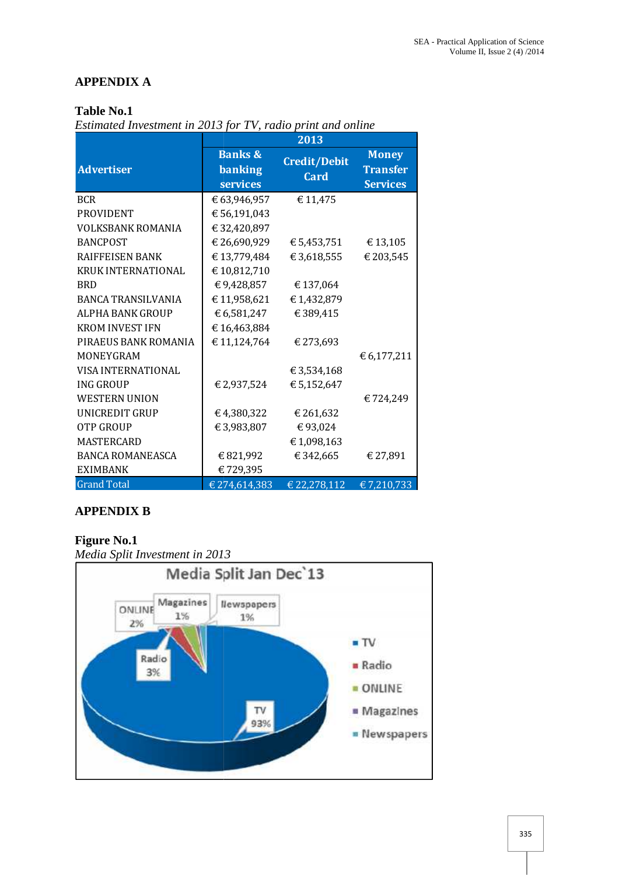## **APPENDIX A**

### **Table No.1**

*Estimated Investment in 2013 for TV, radio print and online*

|                           | 2013                                                    |                                    |                                                    |
|---------------------------|---------------------------------------------------------|------------------------------------|----------------------------------------------------|
| <b>Advertiser</b>         | <b>Banks &amp;</b><br><b>banking</b><br><b>services</b> | <b>Credit/Debit</b><br><b>Card</b> | <b>Money</b><br><b>Transfer</b><br><b>Services</b> |
| <b>BCR</b>                | € 63,946,957                                            | € 11,475                           |                                                    |
| <b>PROVIDENT</b>          | € 56,191,043                                            |                                    |                                                    |
| <b>VOLKSBANK ROMANIA</b>  | € 32,420,897                                            |                                    |                                                    |
| <b>BANCPOST</b>           | € 26,690,929                                            | € 5,453,751                        | €13,105                                            |
| <b>RAIFFEISEN BANK</b>    | €13,779,484                                             | € 3,618,555                        | € 203,545                                          |
| <b>KRUK INTERNATIONAL</b> | €10,812,710                                             |                                    |                                                    |
| <b>BRD</b>                | €9,428,857                                              | €137,064                           |                                                    |
| <b>BANCA TRANSILVANIA</b> | €11,958,621                                             | €1,432,879                         |                                                    |
| ALPHA BANK GROUP          | € 6,581,247                                             | €389,415                           |                                                    |
| <b>KROM INVEST IFN</b>    | €16,463,884                                             |                                    |                                                    |
| PIRAEUS BANK ROMANIA      | € 11,124,764                                            | € 273,693                          |                                                    |
| <b>MONEYGRAM</b>          |                                                         |                                    | € 6,177,211                                        |
| VISA INTERNATIONAL        |                                                         | € 3,534,168                        |                                                    |
| <b>ING GROUP</b>          | € 2,937,524                                             | € 5,152,647                        |                                                    |
| <b>WESTERN UNION</b>      |                                                         |                                    | €724,249                                           |
| UNICREDIT GRUP            | €4,380,322                                              | € 261,632                          |                                                    |
| <b>OTP GROUP</b>          | € 3,983,807                                             | €93,024                            |                                                    |
| <b>MASTERCARD</b>         |                                                         | €1,098,163                         |                                                    |
| <b>BANCA ROMANEASCA</b>   | €821,992                                                | €342,665                           | € 27,891                                           |
| <b>EXIMBANK</b>           | €729,395                                                |                                    |                                                    |
| <b>Grand Total</b>        | € 274,614,383                                           | € 22,278,112                       | € 7,210,733                                        |

### **APPENDIX B**

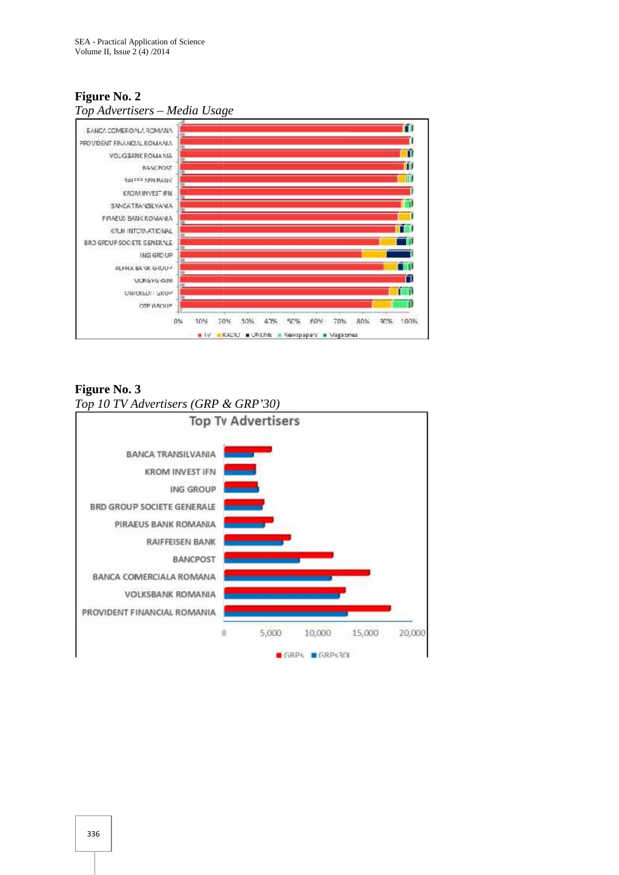### **Figure No. 2** *Top Advertisers – Media Usage*



**Figure No. 3** *Top 10 TV Advertisers (GRP & GRP'30)*

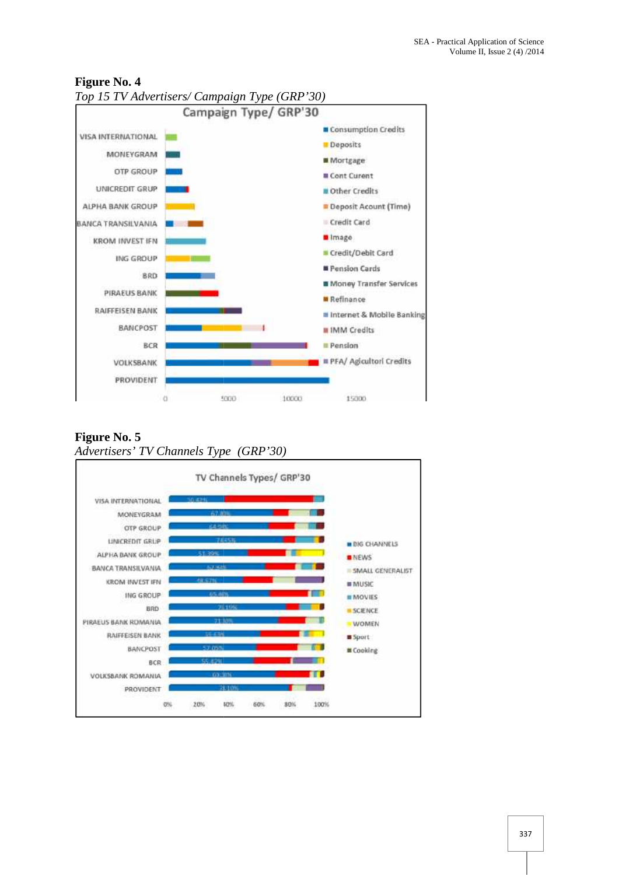

### **Figure No. 4**